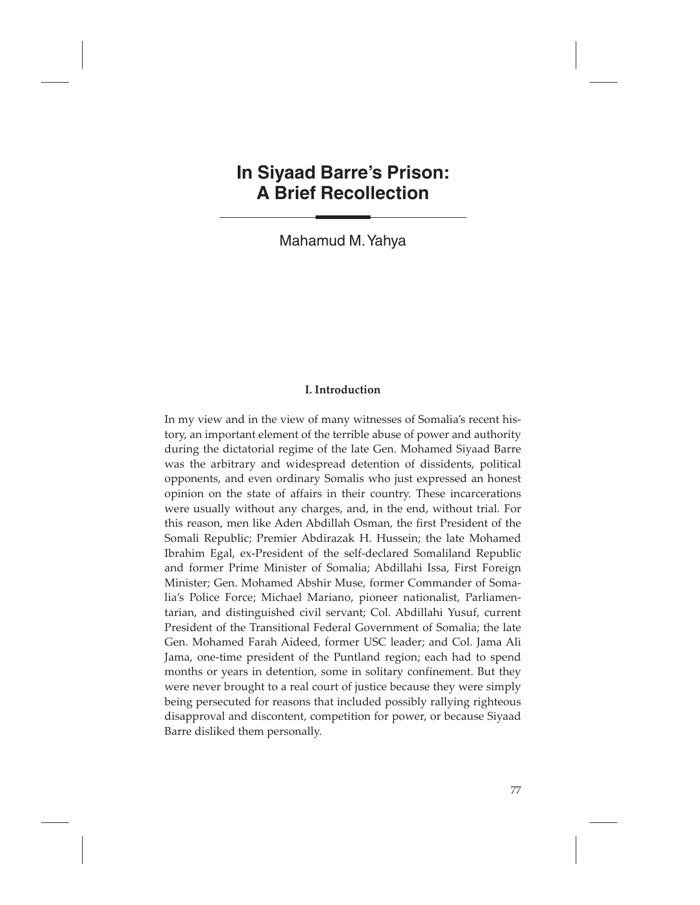# **In Siyaad Barre's Prison: A Brief Recollection**

Mahamud M. Yahya

# **I. Introduction**

In my view and in the view of many witnesses of Somalia's recent history, an important element of the terrible abuse of power and authority during the dictatorial regime of the late Gen. Mohamed Siyaad Barre was the arbitrary and widespread detention of dissidents, political opponents, and even ordinary Somalis who just expressed an honest opinion on the state of affairs in their country. These incarcerations were usually without any charges, and, in the end, without trial. For this reason, men like Aden Abdillah Osman, the first President of the Somali Republic; Premier Abdirazak H. Hussein; the late Mohamed Ibrahim Egal, ex-President of the self-declared Somaliland Republic and former Prime Minister of Somalia; Abdillahi Issa, First Foreign Minister; Gen. Mohamed Abshir Muse, former Commander of Somalia's Police Force; Michael Mariano, pioneer nationalist, Parliamentarian, and distinguished civil servant; Col. Abdillahi Yusuf, current President of the Transitional Federal Government of Somalia; the late Gen. Mohamed Farah Aideed, former USC leader; and Col. Jama Ali Jama, one-time president of the Puntland region; each had to spend months or years in detention, some in solitary confinement. But they were never brought to a real court of justice because they were simply being persecuted for reasons that included possibly rallying righteous disapproval and discontent, competition for power, or because Siyaad Barre disliked them personally.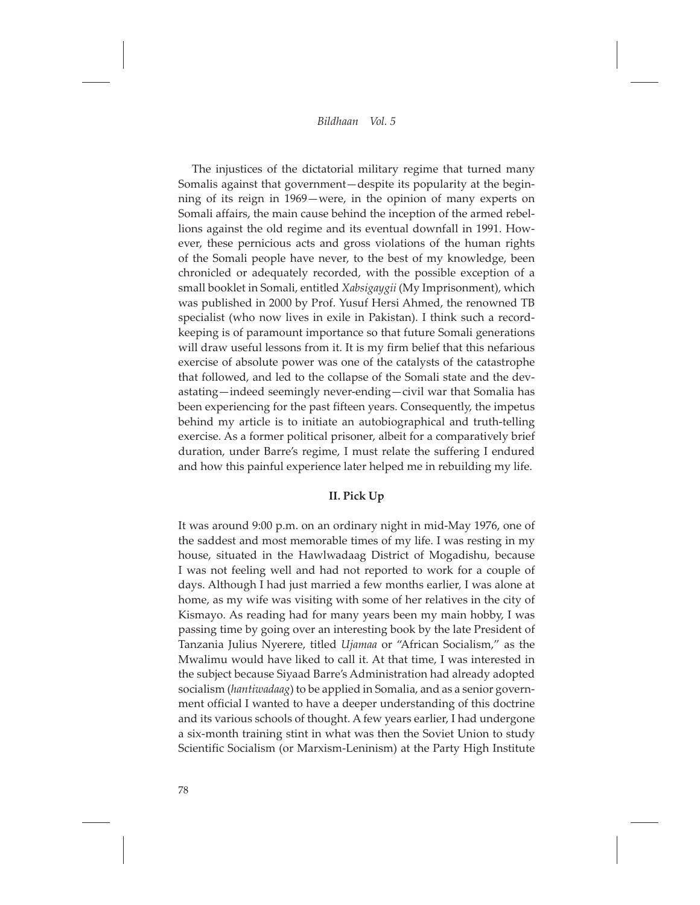The injustices of the dictatorial military regime that turned many Somalis against that government—despite its popularity at the beginning of its reign in 1969—were, in the opinion of many experts on Somali affairs, the main cause behind the inception of the armed rebellions against the old regime and its eventual downfall in 1991. However, these pernicious acts and gross violations of the human rights of the Somali people have never, to the best of my knowledge, been chronicled or adequately recorded, with the possible exception of a small booklet in Somali, entitled *Xabsigaygii* (My Imprisonment), which was published in 2000 by Prof. Yusuf Hersi Ahmed, the renowned TB specialist (who now lives in exile in Pakistan). I think such a recordkeeping is of paramount importance so that future Somali generations will draw useful lessons from it. It is my firm belief that this nefarious exercise of absolute power was one of the catalysts of the catastrophe that followed, and led to the collapse of the Somali state and the devastating—indeed seemingly never-ending—civil war that Somalia has been experiencing for the past fifteen years. Consequently, the impetus behind my article is to initiate an autobiographical and truth-telling exercise. As a former political prisoner, albeit for a comparatively brief duration, under Barre's regime, I must relate the suffering I endured and how this painful experience later helped me in rebuilding my life.

#### **II. Pick Up**

It was around 9:00 p.m. on an ordinary night in mid-May 1976, one of the saddest and most memorable times of my life. I was resting in my house, situated in the Hawlwadaag District of Mogadishu, because I was not feeling well and had not reported to work for a couple of days. Although I had just married a few months earlier, I was alone at home, as my wife was visiting with some of her relatives in the city of Kismayo. As reading had for many years been my main hobby, I was passing time by going over an interesting book by the late President of Tanzania Julius Nyerere, titled *Ujamaa* or "African Socialism," as the Mwalimu would have liked to call it. At that time, I was interested in the subject because Siyaad Barre's Administration had already adopted socialism (*hantiwadaag*) to be applied in Somalia, and as a senior government official I wanted to have a deeper understanding of this doctrine and its various schools of thought. A few years earlier, I had undergone a six-month training stint in what was then the Soviet Union to study Scientific Socialism (or Marxism-Leninism) at the Party High Institute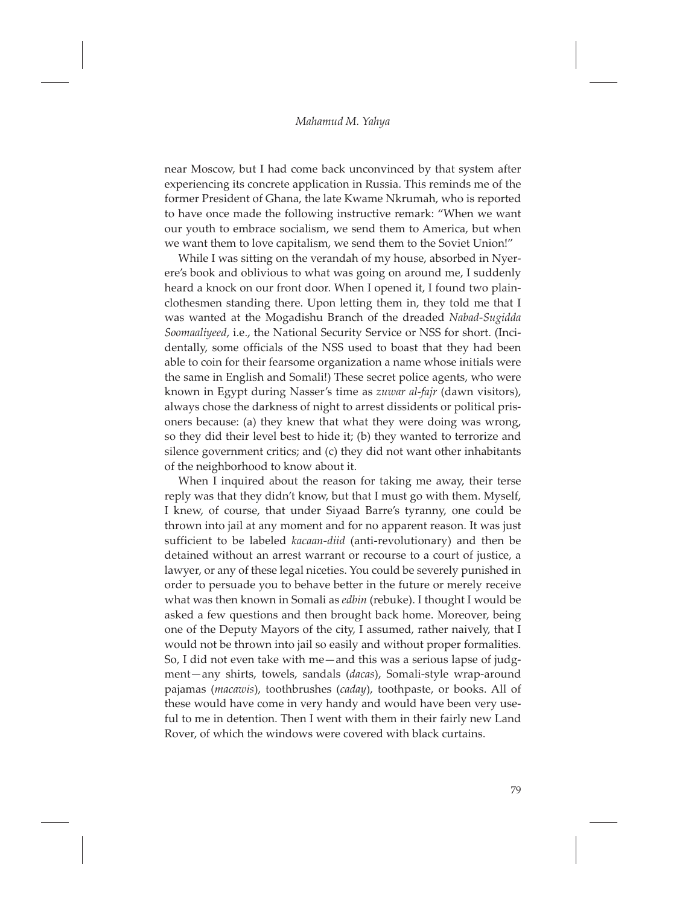near Moscow, but I had come back unconvinced by that system after experiencing its concrete application in Russia. This reminds me of the former President of Ghana, the late Kwame Nkrumah, who is reported to have once made the following instructive remark: "When we want our youth to embrace socialism, we send them to America, but when we want them to love capitalism, we send them to the Soviet Union!"

While I was sitting on the verandah of my house, absorbed in Nyerere's book and oblivious to what was going on around me, I suddenly heard a knock on our front door. When I opened it, I found two plainclothesmen standing there. Upon letting them in, they told me that I was wanted at the Mogadishu Branch of the dreaded *Nabad-Sugidda Soomaaliyeed*, i.e., the National Security Service or NSS for short. (Incidentally, some officials of the NSS used to boast that they had been able to coin for their fearsome organization a name whose initials were the same in English and Somali!) These secret police agents, who were known in Egypt during Nasser's time as *zuwar al-fajr* (dawn visitors), always chose the darkness of night to arrest dissidents or political prisoners because: (a) they knew that what they were doing was wrong, so they did their level best to hide it; (b) they wanted to terrorize and silence government critics; and (c) they did not want other inhabitants of the neighborhood to know about it.

When I inquired about the reason for taking me away, their terse reply was that they didn't know, but that I must go with them. Myself, I knew, of course, that under Siyaad Barre's tyranny, one could be thrown into jail at any moment and for no apparent reason. It was just sufficient to be labeled *kacaan-diid* (anti-revolutionary) and then be detained without an arrest warrant or recourse to a court of justice, a lawyer, or any of these legal niceties. You could be severely punished in order to persuade you to behave better in the future or merely receive what was then known in Somali as *edbin* (rebuke). I thought I would be asked a few questions and then brought back home. Moreover, being one of the Deputy Mayors of the city, I assumed, rather naively, that I would not be thrown into jail so easily and without proper formalities. So, I did not even take with me—and this was a serious lapse of judgment—any shirts, towels, sandals (*dacas*), Somali-style wrap-around pajamas (*macawis*), toothbrushes (*caday*), toothpaste, or books. All of these would have come in very handy and would have been very useful to me in detention. Then I went with them in their fairly new Land Rover, of which the windows were covered with black curtains.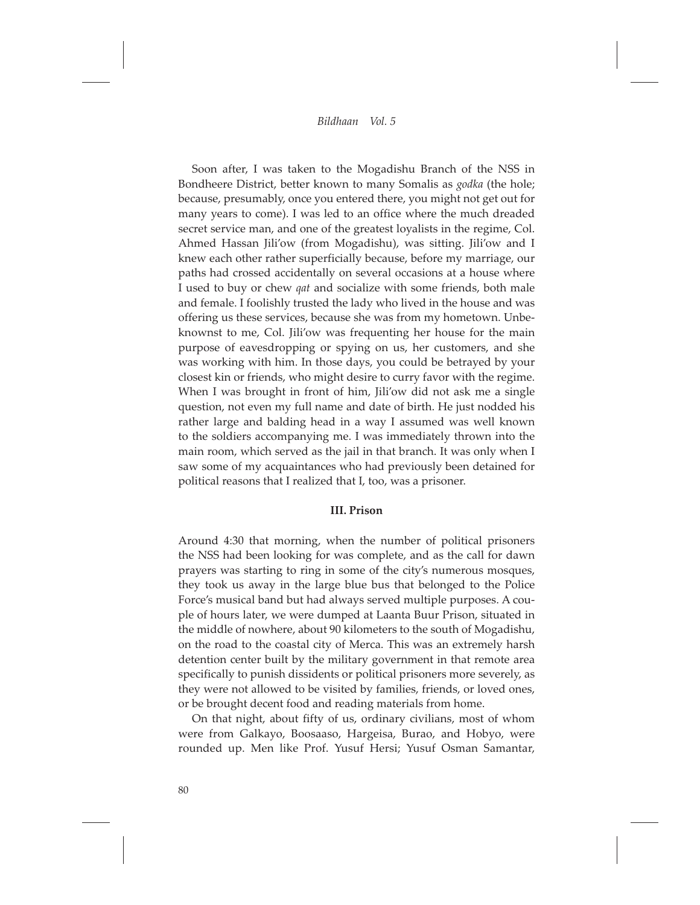Soon after, I was taken to the Mogadishu Branch of the NSS in Bondheere District, better known to many Somalis as *godka* (the hole; because, presumably, once you entered there, you might not get out for many years to come). I was led to an office where the much dreaded secret service man, and one of the greatest loyalists in the regime, Col. Ahmed Hassan Jili'ow (from Mogadishu), was sitting. Jili'ow and I knew each other rather superficially because, before my marriage, our paths had crossed accidentally on several occasions at a house where I used to buy or chew *qat* and socialize with some friends, both male and female. I foolishly trusted the lady who lived in the house and was offering us these services, because she was from my hometown. Unbeknownst to me, Col. Jili'ow was frequenting her house for the main purpose of eavesdropping or spying on us, her customers, and she was working with him. In those days, you could be betrayed by your closest kin or friends, who might desire to curry favor with the regime. When I was brought in front of him, Jili'ow did not ask me a single question, not even my full name and date of birth. He just nodded his rather large and balding head in a way I assumed was well known to the soldiers accompanying me. I was immediately thrown into the main room, which served as the jail in that branch. It was only when I saw some of my acquaintances who had previously been detained for political reasons that I realized that I, too, was a prisoner.

#### **III. Prison**

Around 4:30 that morning, when the number of political prisoners the NSS had been looking for was complete, and as the call for dawn prayers was starting to ring in some of the city's numerous mosques, they took us away in the large blue bus that belonged to the Police Force's musical band but had always served multiple purposes. A couple of hours later, we were dumped at Laanta Buur Prison, situated in the middle of nowhere, about 90 kilometers to the south of Mogadishu, on the road to the coastal city of Merca. This was an extremely harsh detention center built by the military government in that remote area specifically to punish dissidents or political prisoners more severely, as they were not allowed to be visited by families, friends, or loved ones, or be brought decent food and reading materials from home.

On that night, about fifty of us, ordinary civilians, most of whom were from Galkayo, Boosaaso, Hargeisa, Burao, and Hobyo, were rounded up. Men like Prof. Yusuf Hersi; Yusuf Osman Samantar,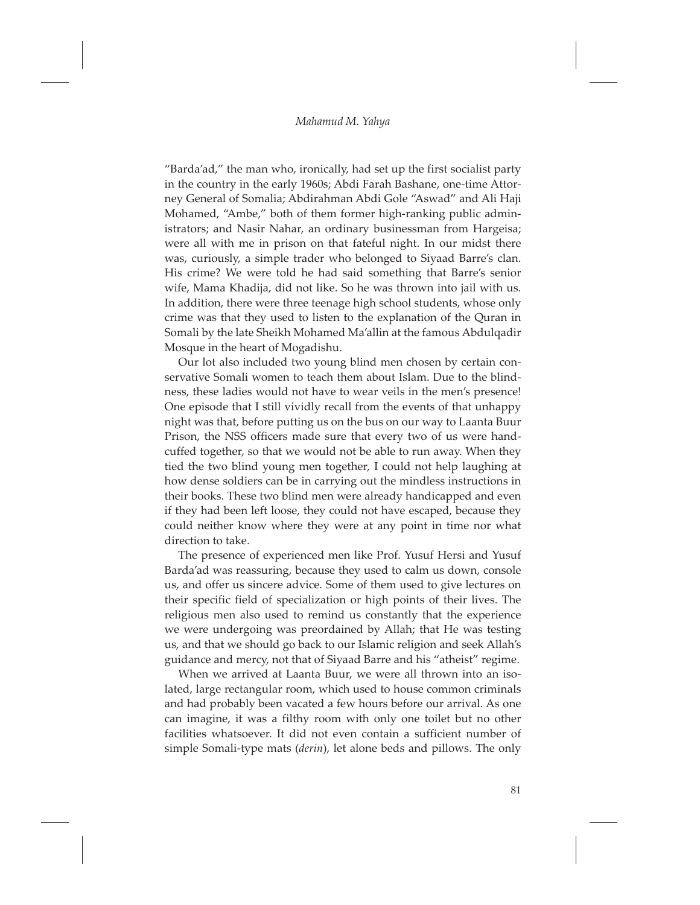"Barda'ad," the man who, ironically, had set up the first socialist party in the country in the early 1960s; Abdi Farah Bashane, one-time Attorney General of Somalia; Abdirahman Abdi Gole "Aswad" and Ali Haji Mohamed, "Ambe," both of them former high-ranking public administrators; and Nasir Nahar, an ordinary businessman from Hargeisa; were all with me in prison on that fateful night. In our midst there was, curiously, a simple trader who belonged to Siyaad Barre's clan. His crime? We were told he had said something that Barre's senior wife, Mama Khadija, did not like. So he was thrown into jail with us. In addition, there were three teenage high school students, whose only crime was that they used to listen to the explanation of the Quran in Somali by the late Sheikh Mohamed Ma'allin at the famous Abdulqadir Mosque in the heart of Mogadishu.

Our lot also included two young blind men chosen by certain conservative Somali women to teach them about Islam. Due to the blindness, these ladies would not have to wear veils in the men's presence! One episode that I still vividly recall from the events of that unhappy night was that, before putting us on the bus on our way to Laanta Buur Prison, the NSS officers made sure that every two of us were handcuffed together, so that we would not be able to run away. When they tied the two blind young men together, I could not help laughing at how dense soldiers can be in carrying out the mindless instructions in their books. These two blind men were already handicapped and even if they had been left loose, they could not have escaped, because they could neither know where they were at any point in time nor what direction to take.

The presence of experienced men like Prof. Yusuf Hersi and Yusuf Barda'ad was reassuring, because they used to calm us down, console us, and offer us sincere advice. Some of them used to give lectures on their specific field of specialization or high points of their lives. The religious men also used to remind us constantly that the experience we were undergoing was preordained by Allah; that He was testing us, and that we should go back to our Islamic religion and seek Allah's guidance and mercy, not that of Siyaad Barre and his "atheist" regime.

When we arrived at Laanta Buur, we were all thrown into an isolated, large rectangular room, which used to house common criminals and had probably been vacated a few hours before our arrival. As one can imagine, it was a filthy room with only one toilet but no other facilities whatsoever. It did not even contain a sufficient number of simple Somali-type mats (*derin*), let alone beds and pillows. The only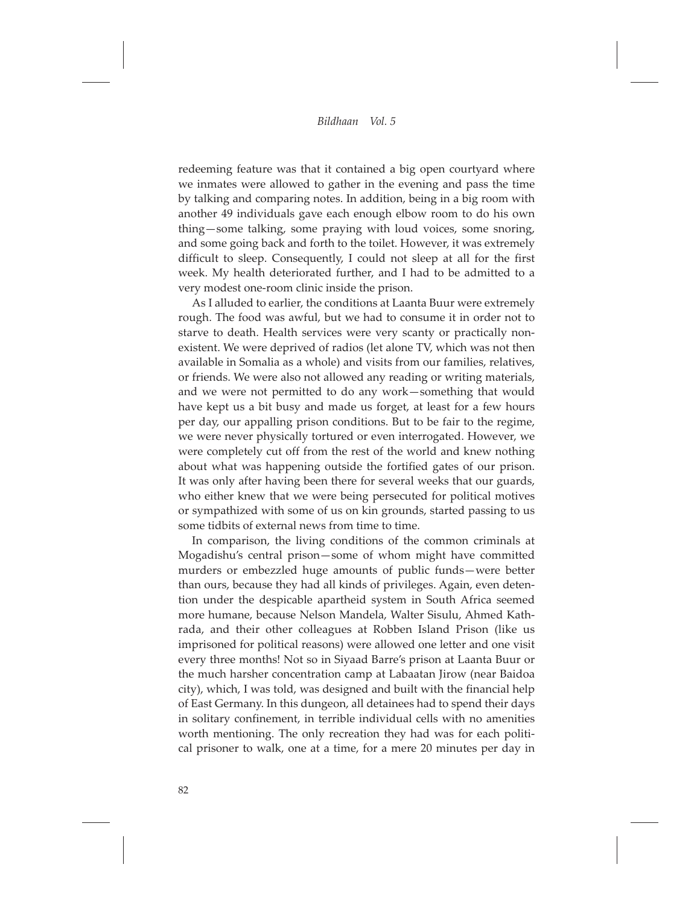redeeming feature was that it contained a big open courtyard where we inmates were allowed to gather in the evening and pass the time by talking and comparing notes. In addition, being in a big room with another 49 individuals gave each enough elbow room to do his own thing—some talking, some praying with loud voices, some snoring, and some going back and forth to the toilet. However, it was extremely difficult to sleep. Consequently, I could not sleep at all for the first week. My health deteriorated further, and I had to be admitted to a very modest one-room clinic inside the prison.

As I alluded to earlier, the conditions at Laanta Buur were extremely rough. The food was awful, but we had to consume it in order not to starve to death. Health services were very scanty or practically nonexistent. We were deprived of radios (let alone TV, which was not then available in Somalia as a whole) and visits from our families, relatives, or friends. We were also not allowed any reading or writing materials, and we were not permitted to do any work—something that would have kept us a bit busy and made us forget, at least for a few hours per day, our appalling prison conditions. But to be fair to the regime, we were never physically tortured or even interrogated. However, we were completely cut off from the rest of the world and knew nothing about what was happening outside the fortified gates of our prison. It was only after having been there for several weeks that our guards, who either knew that we were being persecuted for political motives or sympathized with some of us on kin grounds, started passing to us some tidbits of external news from time to time.

In comparison, the living conditions of the common criminals at Mogadishu's central prison—some of whom might have committed murders or embezzled huge amounts of public funds—were better than ours, because they had all kinds of privileges. Again, even detention under the despicable apartheid system in South Africa seemed more humane, because Nelson Mandela, Walter Sisulu, Ahmed Kathrada, and their other colleagues at Robben Island Prison (like us imprisoned for political reasons) were allowed one letter and one visit every three months! Not so in Siyaad Barre's prison at Laanta Buur or the much harsher concentration camp at Labaatan Jirow (near Baidoa city), which, I was told, was designed and built with the financial help of East Germany. In this dungeon, all detainees had to spend their days in solitary confinement, in terrible individual cells with no amenities worth mentioning. The only recreation they had was for each political prisoner to walk, one at a time, for a mere 20 minutes per day in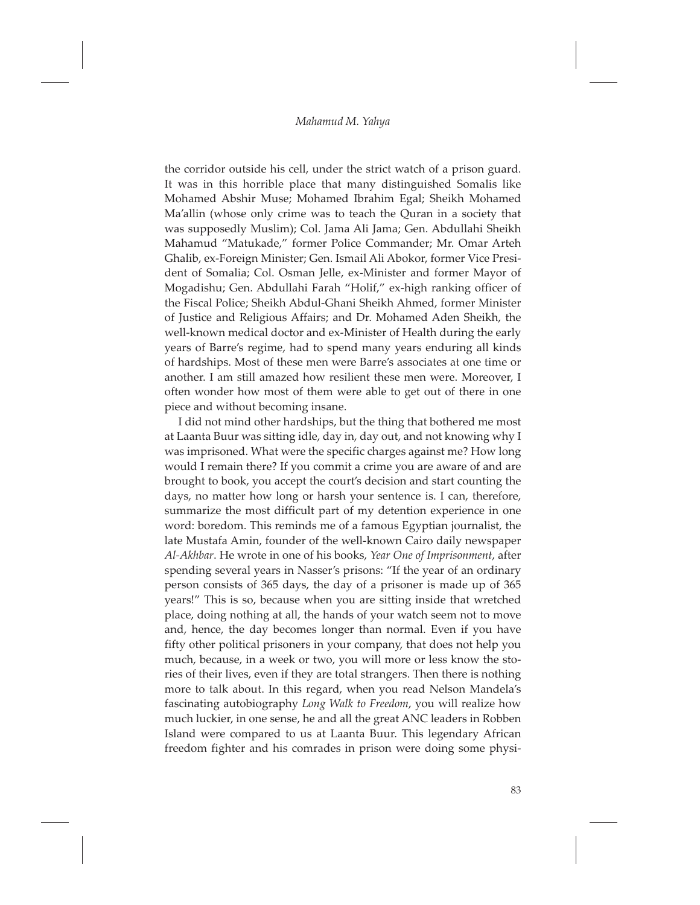the corridor outside his cell, under the strict watch of a prison guard. It was in this horrible place that many distinguished Somalis like Mohamed Abshir Muse; Mohamed Ibrahim Egal; Sheikh Mohamed Ma'allin (whose only crime was to teach the Quran in a society that was supposedly Muslim); Col. Jama Ali Jama; Gen. Abdullahi Sheikh Mahamud "Matukade," former Police Commander; Mr. Omar Arteh Ghalib, ex-Foreign Minister; Gen. Ismail Ali Abokor, former Vice President of Somalia; Col. Osman Jelle, ex-Minister and former Mayor of Mogadishu; Gen. Abdullahi Farah "Holif," ex-high ranking officer of the Fiscal Police; Sheikh Abdul-Ghani Sheikh Ahmed, former Minister of Justice and Religious Affairs; and Dr. Mohamed Aden Sheikh, the well-known medical doctor and ex-Minister of Health during the early years of Barre's regime, had to spend many years enduring all kinds of hardships. Most of these men were Barre's associates at one time or another. I am still amazed how resilient these men were. Moreover, I often wonder how most of them were able to get out of there in one piece and without becoming insane.

I did not mind other hardships, but the thing that bothered me most at Laanta Buur was sitting idle, day in, day out, and not knowing why I was imprisoned. What were the specific charges against me? How long would I remain there? If you commit a crime you are aware of and are brought to book, you accept the court's decision and start counting the days, no matter how long or harsh your sentence is. I can, therefore, summarize the most difficult part of my detention experience in one word: boredom. This reminds me of a famous Egyptian journalist, the late Mustafa Amin, founder of the well-known Cairo daily newspaper *Al-Akhbar*. He wrote in one of his books, *Year One of Imprisonment*, after spending several years in Nasser's prisons: "If the year of an ordinary person consists of 365 days, the day of a prisoner is made up of 365 years!" This is so, because when you are sitting inside that wretched place, doing nothing at all, the hands of your watch seem not to move and, hence, the day becomes longer than normal. Even if you have fifty other political prisoners in your company, that does not help you much, because, in a week or two, you will more or less know the stories of their lives, even if they are total strangers. Then there is nothing more to talk about. In this regard, when you read Nelson Mandela's fascinating autobiography *Long Walk to Freedom*, you will realize how much luckier, in one sense, he and all the great ANC leaders in Robben Island were compared to us at Laanta Buur. This legendary African freedom fighter and his comrades in prison were doing some physi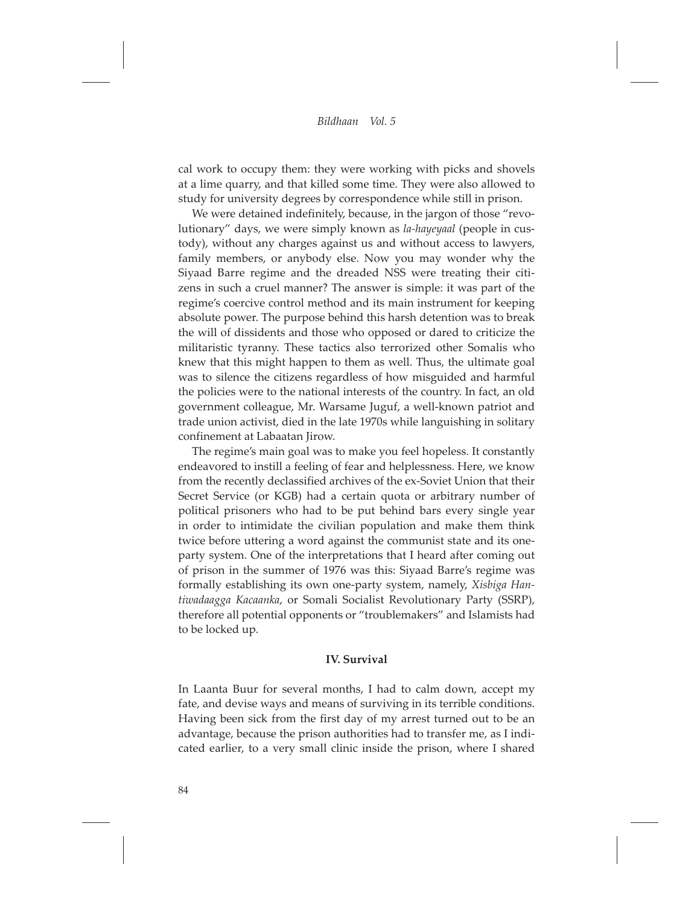cal work to occupy them: they were working with picks and shovels at a lime quarry, and that killed some time. They were also allowed to study for university degrees by correspondence while still in prison.

We were detained indefinitely, because, in the jargon of those "revolutionary" days, we were simply known as *la-hayeyaal* (people in custody), without any charges against us and without access to lawyers, family members, or anybody else. Now you may wonder why the Siyaad Barre regime and the dreaded NSS were treating their citizens in such a cruel manner? The answer is simple: it was part of the regime's coercive control method and its main instrument for keeping absolute power. The purpose behind this harsh detention was to break the will of dissidents and those who opposed or dared to criticize the militaristic tyranny. These tactics also terrorized other Somalis who knew that this might happen to them as well. Thus, the ultimate goal was to silence the citizens regardless of how misguided and harmful the policies were to the national interests of the country. In fact, an old government colleague, Mr. Warsame Juguf, a well-known patriot and trade union activist, died in the late 1970s while languishing in solitary confinement at Labaatan Jirow.

The regime's main goal was to make you feel hopeless. It constantly endeavored to instill a feeling of fear and helplessness. Here, we know from the recently declassified archives of the ex-Soviet Union that their Secret Service (or KGB) had a certain quota or arbitrary number of political prisoners who had to be put behind bars every single year in order to intimidate the civilian population and make them think twice before uttering a word against the communist state and its oneparty system. One of the interpretations that I heard after coming out of prison in the summer of 1976 was this: Siyaad Barre's regime was formally establishing its own one-party system, namely, *Xisbiga Hantiwadaagga Kacaanka*, or Somali Socialist Revolutionary Party (SSRP), therefore all potential opponents or "troublemakers" and Islamists had to be locked up.

## **IV. Survival**

In Laanta Buur for several months, I had to calm down, accept my fate, and devise ways and means of surviving in its terrible conditions. Having been sick from the first day of my arrest turned out to be an advantage, because the prison authorities had to transfer me, as I indicated earlier, to a very small clinic inside the prison, where I shared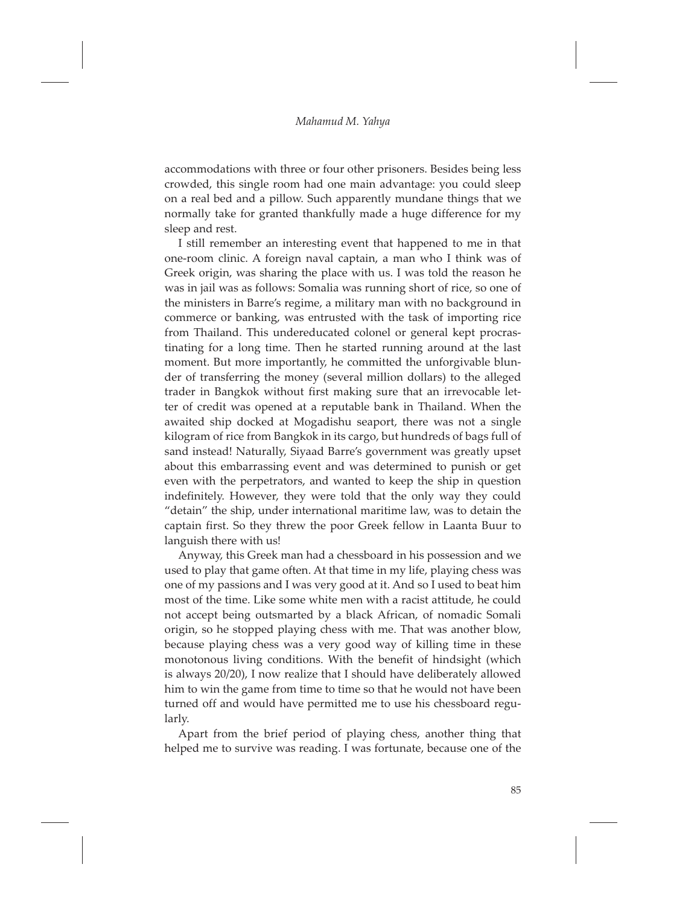accommodations with three or four other prisoners. Besides being less crowded, this single room had one main advantage: you could sleep on a real bed and a pillow. Such apparently mundane things that we normally take for granted thankfully made a huge difference for my sleep and rest.

I still remember an interesting event that happened to me in that one-room clinic. A foreign naval captain, a man who I think was of Greek origin, was sharing the place with us. I was told the reason he was in jail was as follows: Somalia was running short of rice, so one of the ministers in Barre's regime, a military man with no background in commerce or banking, was entrusted with the task of importing rice from Thailand. This undereducated colonel or general kept procrastinating for a long time. Then he started running around at the last moment. But more importantly, he committed the unforgivable blunder of transferring the money (several million dollars) to the alleged trader in Bangkok without first making sure that an irrevocable letter of credit was opened at a reputable bank in Thailand. When the awaited ship docked at Mogadishu seaport, there was not a single kilogram of rice from Bangkok in its cargo, but hundreds of bags full of sand instead! Naturally, Siyaad Barre's government was greatly upset about this embarrassing event and was determined to punish or get even with the perpetrators, and wanted to keep the ship in question indefinitely. However, they were told that the only way they could "detain" the ship, under international maritime law, was to detain the captain first. So they threw the poor Greek fellow in Laanta Buur to languish there with us!

Anyway, this Greek man had a chessboard in his possession and we used to play that game often. At that time in my life, playing chess was one of my passions and I was very good at it. And so I used to beat him most of the time. Like some white men with a racist attitude, he could not accept being outsmarted by a black African, of nomadic Somali origin, so he stopped playing chess with me. That was another blow, because playing chess was a very good way of killing time in these monotonous living conditions. With the benefit of hindsight (which is always 20/20), I now realize that I should have deliberately allowed him to win the game from time to time so that he would not have been turned off and would have permitted me to use his chessboard regularly.

Apart from the brief period of playing chess, another thing that helped me to survive was reading. I was fortunate, because one of the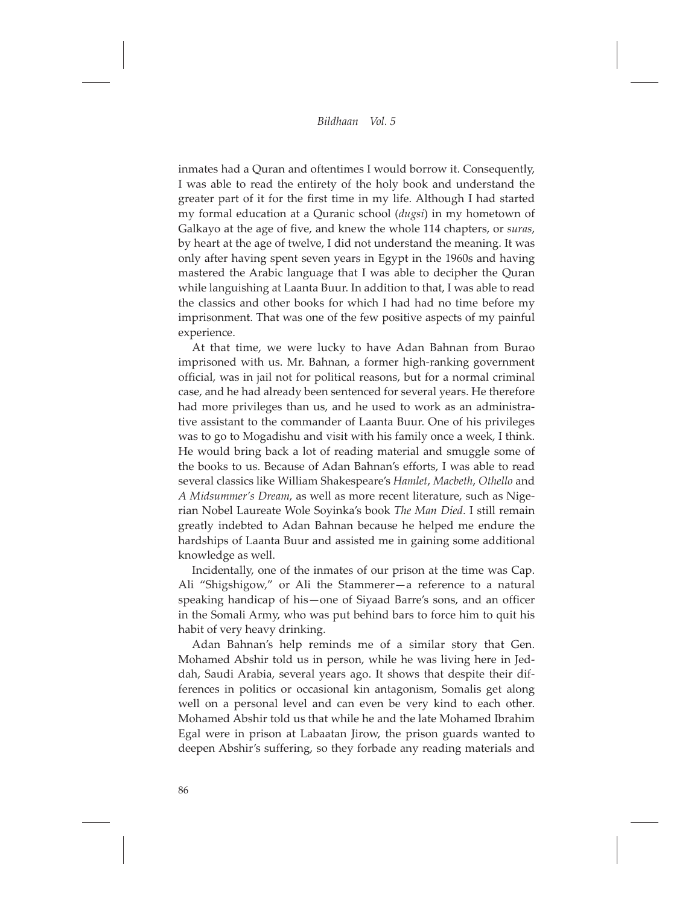inmates had a Quran and oftentimes I would borrow it. Consequently, I was able to read the entirety of the holy book and understand the greater part of it for the first time in my life. Although I had started my formal education at a Quranic school (*dugsi*) in my hometown of Galkayo at the age of five, and knew the whole 114 chapters, or *suras*, by heart at the age of twelve, I did not understand the meaning. It was only after having spent seven years in Egypt in the 1960s and having mastered the Arabic language that I was able to decipher the Quran while languishing at Laanta Buur. In addition to that, I was able to read the classics and other books for which I had had no time before my imprisonment. That was one of the few positive aspects of my painful experience.

At that time, we were lucky to have Adan Bahnan from Burao imprisoned with us. Mr. Bahnan, a former high-ranking government official, was in jail not for political reasons, but for a normal criminal case, and he had already been sentenced for several years. He therefore had more privileges than us, and he used to work as an administrative assistant to the commander of Laanta Buur. One of his privileges was to go to Mogadishu and visit with his family once a week, I think. He would bring back a lot of reading material and smuggle some of the books to us. Because of Adan Bahnan's efforts, I was able to read several classics like William Shakespeare's *Hamlet*, *Macbeth*, *Othello* and *A Midsummer's Dream*, as well as more recent literature, such as Nigerian Nobel Laureate Wole Soyinka's book *The Man Died*. I still remain greatly indebted to Adan Bahnan because he helped me endure the hardships of Laanta Buur and assisted me in gaining some additional knowledge as well.

Incidentally, one of the inmates of our prison at the time was Cap. Ali "Shigshigow," or Ali the Stammerer—a reference to a natural speaking handicap of his—one of Siyaad Barre's sons, and an officer in the Somali Army, who was put behind bars to force him to quit his habit of very heavy drinking.

Adan Bahnan's help reminds me of a similar story that Gen. Mohamed Abshir told us in person, while he was living here in Jeddah, Saudi Arabia, several years ago. It shows that despite their differences in politics or occasional kin antagonism, Somalis get along well on a personal level and can even be very kind to each other. Mohamed Abshir told us that while he and the late Mohamed Ibrahim Egal were in prison at Labaatan Jirow, the prison guards wanted to deepen Abshir's suffering, so they forbade any reading materials and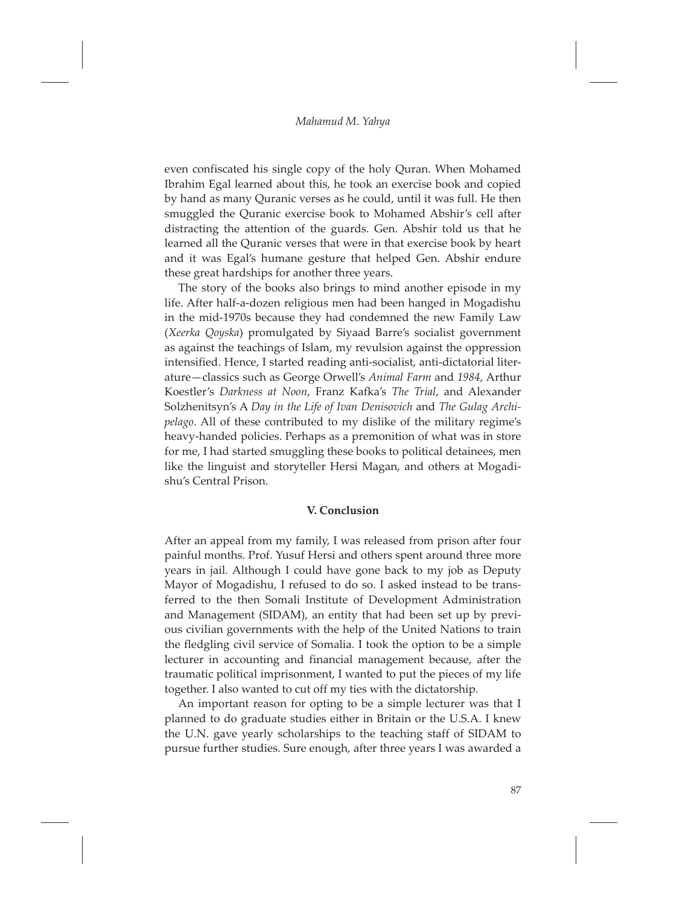even confiscated his single copy of the holy Quran. When Mohamed Ibrahim Egal learned about this, he took an exercise book and copied by hand as many Quranic verses as he could, until it was full. He then smuggled the Quranic exercise book to Mohamed Abshir's cell after distracting the attention of the guards. Gen. Abshir told us that he learned all the Quranic verses that were in that exercise book by heart and it was Egal's humane gesture that helped Gen. Abshir endure these great hardships for another three years.

The story of the books also brings to mind another episode in my life. After half-a-dozen religious men had been hanged in Mogadishu in the mid-1970s because they had condemned the new Family Law (*Xeerka Qoyska*) promulgated by Siyaad Barre's socialist government as against the teachings of Islam, my revulsion against the oppression intensified. Hence, I started reading anti-socialist, anti-dictatorial literature—classics such as George Orwell's *Animal Farm* and *1984*, Arthur Koestler's *Darkness at Noon*, Franz Kafka's *The Trial*, and Alexander Solzhenitsyn's A *Day in the Life of Ivan Denisovich* and *The Gulag Archipelago*. All of these contributed to my dislike of the military regime's heavy-handed policies. Perhaps as a premonition of what was in store for me, I had started smuggling these books to political detainees, men like the linguist and storyteller Hersi Magan, and others at Mogadishu's Central Prison.

## **V. Conclusion**

After an appeal from my family, I was released from prison after four painful months. Prof. Yusuf Hersi and others spent around three more years in jail. Although I could have gone back to my job as Deputy Mayor of Mogadishu, I refused to do so. I asked instead to be transferred to the then Somali Institute of Development Administration and Management (SIDAM), an entity that had been set up by previous civilian governments with the help of the United Nations to train the fledgling civil service of Somalia. I took the option to be a simple lecturer in accounting and financial management because, after the traumatic political imprisonment, I wanted to put the pieces of my life together. I also wanted to cut off my ties with the dictatorship.

An important reason for opting to be a simple lecturer was that I planned to do graduate studies either in Britain or the U.S.A. I knew the U.N. gave yearly scholarships to the teaching staff of SIDAM to pursue further studies. Sure enough, after three years I was awarded a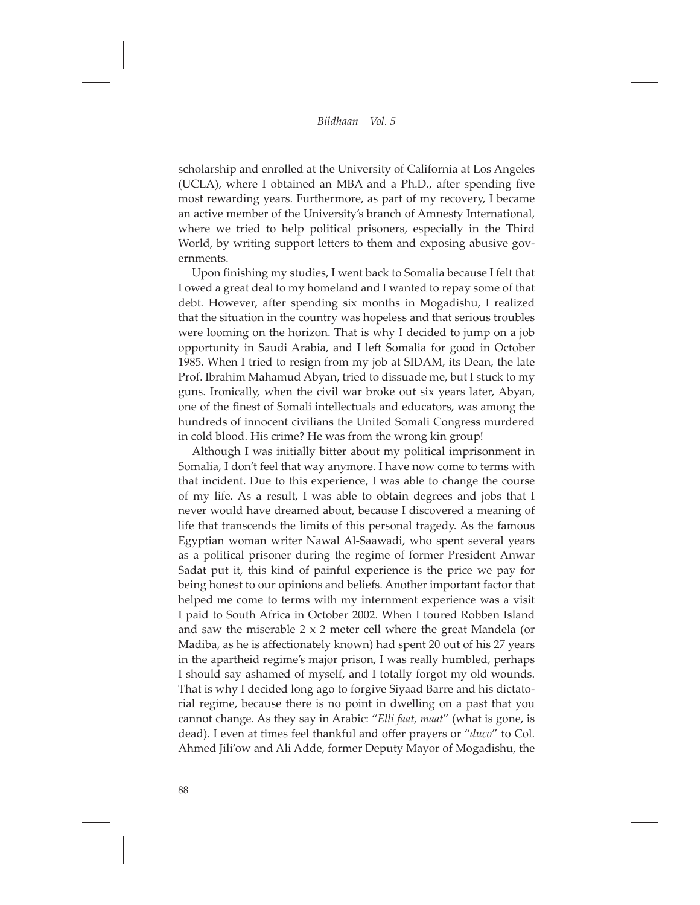scholarship and enrolled at the University of California at Los Angeles (UCLA), where I obtained an MBA and a Ph.D., after spending five most rewarding years. Furthermore, as part of my recovery, I became an active member of the University's branch of Amnesty International, where we tried to help political prisoners, especially in the Third World, by writing support letters to them and exposing abusive governments.

Upon finishing my studies, I went back to Somalia because I felt that I owed a great deal to my homeland and I wanted to repay some of that debt. However, after spending six months in Mogadishu, I realized that the situation in the country was hopeless and that serious troubles were looming on the horizon. That is why I decided to jump on a job opportunity in Saudi Arabia, and I left Somalia for good in October 1985. When I tried to resign from my job at SIDAM, its Dean, the late Prof. Ibrahim Mahamud Abyan, tried to dissuade me, but I stuck to my guns. Ironically, when the civil war broke out six years later, Abyan, one of the finest of Somali intellectuals and educators, was among the hundreds of innocent civilians the United Somali Congress murdered in cold blood. His crime? He was from the wrong kin group!

Although I was initially bitter about my political imprisonment in Somalia, I don't feel that way anymore. I have now come to terms with that incident. Due to this experience, I was able to change the course of my life. As a result, I was able to obtain degrees and jobs that I never would have dreamed about, because I discovered a meaning of life that transcends the limits of this personal tragedy. As the famous Egyptian woman writer Nawal Al-Saawadi, who spent several years as a political prisoner during the regime of former President Anwar Sadat put it, this kind of painful experience is the price we pay for being honest to our opinions and beliefs. Another important factor that helped me come to terms with my internment experience was a visit I paid to South Africa in October 2002. When I toured Robben Island and saw the miserable 2 x 2 meter cell where the great Mandela (or Madiba, as he is affectionately known) had spent 20 out of his 27 years in the apartheid regime's major prison, I was really humbled, perhaps I should say ashamed of myself, and I totally forgot my old wounds. That is why I decided long ago to forgive Siyaad Barre and his dictatorial regime, because there is no point in dwelling on a past that you cannot change. As they say in Arabic: "*Elli faat, maat*" (what is gone, is dead). I even at times feel thankful and offer prayers or "*duco*" to Col. Ahmed Jili'ow and Ali Adde, former Deputy Mayor of Mogadishu, the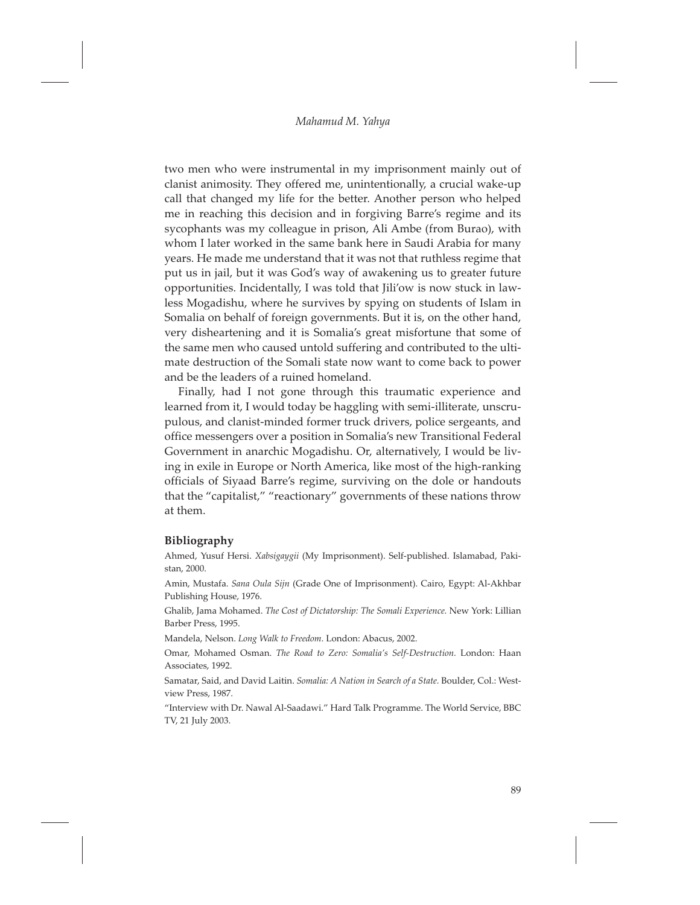two men who were instrumental in my imprisonment mainly out of clanist animosity. They offered me, unintentionally, a crucial wake-up call that changed my life for the better. Another person who helped me in reaching this decision and in forgiving Barre's regime and its sycophants was my colleague in prison, Ali Ambe (from Burao), with whom I later worked in the same bank here in Saudi Arabia for many years. He made me understand that it was not that ruthless regime that put us in jail, but it was God's way of awakening us to greater future opportunities. Incidentally, I was told that Jili'ow is now stuck in lawless Mogadishu, where he survives by spying on students of Islam in Somalia on behalf of foreign governments. But it is, on the other hand, very disheartening and it is Somalia's great misfortune that some of the same men who caused untold suffering and contributed to the ultimate destruction of the Somali state now want to come back to power and be the leaders of a ruined homeland.

Finally, had I not gone through this traumatic experience and learned from it, I would today be haggling with semi-illiterate, unscrupulous, and clanist-minded former truck drivers, police sergeants, and office messengers over a position in Somalia's new Transitional Federal Government in anarchic Mogadishu. Or, alternatively, I would be living in exile in Europe or North America, like most of the high-ranking officials of Siyaad Barre's regime, surviving on the dole or handouts that the "capitalist," "reactionary" governments of these nations throw at them.

## **Bibliography**

Ahmed, Yusuf Hersi. *Xabsigaygii* (My Imprisonment). Self-published. Islamabad, Pakistan, 2000.

Amin, Mustafa. *Sana Oula Sijn* (Grade One of Imprisonment). Cairo, Egypt: Al-Akhbar Publishing House, 1976.

Ghalib, Jama Mohamed. *The Cost of Dictatorship: The Somali Experience.* New York: Lillian Barber Press, 1995.

Mandela, Nelson. *Long Walk to Freedom*. London: Abacus, 2002.

Omar, Mohamed Osman. *The Road to Zero: Somalia's Self-Destruction.* London: Haan Associates, 1992.

Samatar, Said, and David Laitin. *Somalia: A Nation in Search of a State.* Boulder, Col.: Westview Press, 1987.

"Interview with Dr. Nawal Al-Saadawi." Hard Talk Programme. The World Service, BBC TV, 21 July 2003.